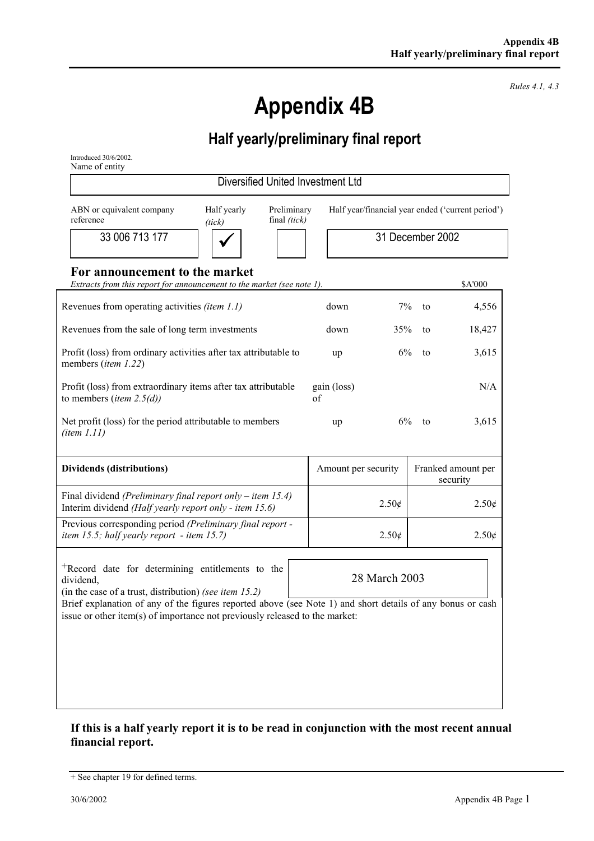*Rules 4.1, 4.3*

# **Appendix 4B**

# **Half yearly/preliminary final report**

| Diversified United Investment Ltd |                                                                                                                                                                      |                                                                                                                                                                                                                                                      |  |
|-----------------------------------|----------------------------------------------------------------------------------------------------------------------------------------------------------------------|------------------------------------------------------------------------------------------------------------------------------------------------------------------------------------------------------------------------------------------------------|--|
|                                   |                                                                                                                                                                      |                                                                                                                                                                                                                                                      |  |
|                                   |                                                                                                                                                                      |                                                                                                                                                                                                                                                      |  |
|                                   |                                                                                                                                                                      | \$A'000                                                                                                                                                                                                                                              |  |
| down                              | 7%<br>to                                                                                                                                                             | 4,556                                                                                                                                                                                                                                                |  |
| down                              | to                                                                                                                                                                   | 18,427                                                                                                                                                                                                                                               |  |
| up                                | 6%<br>to                                                                                                                                                             | 3,615                                                                                                                                                                                                                                                |  |
| gain (loss)<br>of                 |                                                                                                                                                                      | N/A                                                                                                                                                                                                                                                  |  |
| up                                | 6%<br>to                                                                                                                                                             | 3,615                                                                                                                                                                                                                                                |  |
|                                   |                                                                                                                                                                      | Franked amount per<br>security                                                                                                                                                                                                                       |  |
|                                   |                                                                                                                                                                      | 2.50¢                                                                                                                                                                                                                                                |  |
|                                   |                                                                                                                                                                      | 2.50¢                                                                                                                                                                                                                                                |  |
|                                   |                                                                                                                                                                      |                                                                                                                                                                                                                                                      |  |
|                                   |                                                                                                                                                                      |                                                                                                                                                                                                                                                      |  |
|                                   |                                                                                                                                                                      |                                                                                                                                                                                                                                                      |  |
|                                   |                                                                                                                                                                      |                                                                                                                                                                                                                                                      |  |
|                                   |                                                                                                                                                                      |                                                                                                                                                                                                                                                      |  |
|                                   | Preliminary<br>Extracts from this report for announcement to the market (see note 1).<br>issue or other item(s) of importance not previously released to the market: | Half year/financial year ended ('current period')<br>31 December 2002<br>35%<br>Amount per security<br>2.50¢<br>2.50¢<br>28 March 2003<br>Brief explanation of any of the figures reported above (see Note 1) and short details of any bonus or cash |  |

### **If this is a half yearly report it is to be read in conjunction with the most recent annual financial report.**

<sup>+</sup> See chapter 19 for defined terms.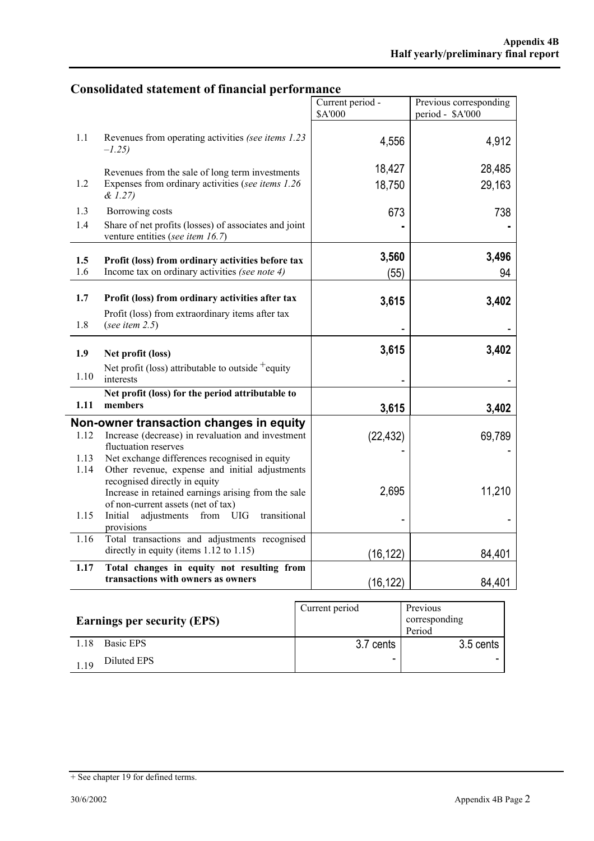# **Consolidated statement of financial performance**

|      |                                                                                               | Current period -<br>\$A'000 | Previous corresponding<br>period - \$A'000 |
|------|-----------------------------------------------------------------------------------------------|-----------------------------|--------------------------------------------|
|      |                                                                                               |                             |                                            |
| 1.1  | Revenues from operating activities (see items 1.23<br>$-1.25$                                 | 4,556                       | 4,912                                      |
|      | Revenues from the sale of long term investments                                               | 18,427                      | 28,485                                     |
| 1.2  | Expenses from ordinary activities (see items 1.26)<br>& 1.27)                                 | 18,750                      | 29,163                                     |
| 1.3  | Borrowing costs                                                                               | 673                         | 738                                        |
| 1.4  | Share of net profits (losses) of associates and joint<br>venture entities (see item 16.7)     |                             |                                            |
| 1.5  | Profit (loss) from ordinary activities before tax                                             | 3,560                       | 3,496                                      |
| 1.6  | Income tax on ordinary activities (see note 4)                                                | (55)                        | 94                                         |
|      |                                                                                               |                             |                                            |
| 1.7  | Profit (loss) from ordinary activities after tax                                              | 3,615                       | 3,402                                      |
| 1.8  | Profit (loss) from extraordinary items after tax<br>(see item $2.5$ )                         |                             |                                            |
|      |                                                                                               | 3,615                       | 3,402                                      |
| 1.9  | Net profit (loss)<br>Net profit (loss) attributable to outside $+$ equity                     |                             |                                            |
| 1.10 | interests                                                                                     |                             |                                            |
|      | Net profit (loss) for the period attributable to                                              |                             |                                            |
| 1.11 | members                                                                                       | 3,615                       | 3,402                                      |
|      | Non-owner transaction changes in equity                                                       |                             |                                            |
| 1.12 | Increase (decrease) in revaluation and investment                                             | (22, 432)                   | 69,789                                     |
| 1.13 | fluctuation reserves<br>Net exchange differences recognised in equity                         |                             |                                            |
| 1.14 | Other revenue, expense and initial adjustments                                                |                             |                                            |
|      | recognised directly in equity                                                                 |                             |                                            |
|      | Increase in retained earnings arising from the sale<br>of non-current assets (net of tax)     | 2,695                       | 11,210                                     |
| 1.15 | Initial<br>adjustments<br>transitional<br>from<br><b>UIG</b>                                  |                             |                                            |
|      | provisions                                                                                    |                             |                                            |
| 1.16 | Total transactions and adjustments recognised<br>directly in equity (items $1.12$ to $1.15$ ) |                             |                                            |
|      |                                                                                               | (16, 122)                   | 84,401                                     |
| 1.17 | Total changes in equity not resulting from<br>transactions with owners as owners              |                             |                                            |
|      |                                                                                               | (16, 122)                   | 84,401                                     |
|      |                                                                                               |                             |                                            |

| <b>Earnings per security (EPS)</b> | Current period | Previous<br>corresponding<br>Period |
|------------------------------------|----------------|-------------------------------------|
| 1.18<br>Basic EPS                  | 3.7 cents      | 3.5 cents                           |
| Diluted EPS<br>119                 |                |                                     |

<sup>+</sup> See chapter 19 for defined terms.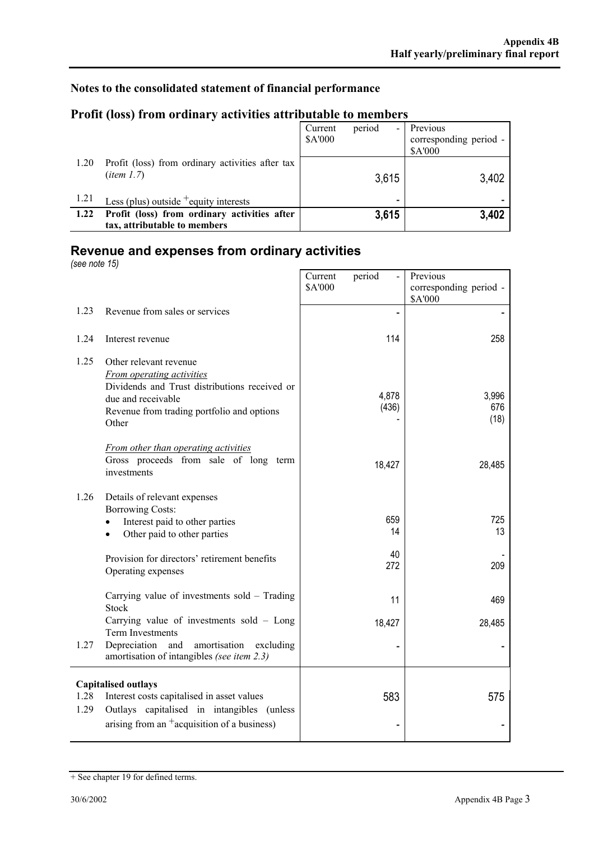### **Notes to the consolidated statement of financial performance**

|      |                                                  | Current       | period<br>$\overline{\phantom{a}}$ | Previous               |
|------|--------------------------------------------------|---------------|------------------------------------|------------------------|
|      |                                                  | <b>SA'000</b> |                                    | corresponding period - |
|      |                                                  |               |                                    | <b>SA'000</b>          |
| 1.20 | Profit (loss) from ordinary activities after tax |               |                                    |                        |
|      | $(i$ tem 1.7)                                    |               | 3,615                              | 3,402                  |
|      |                                                  |               |                                    |                        |
|      | Less (plus) outside $+$ equity interests         |               |                                    |                        |
| 1.22 | Profit (loss) from ordinary activities after     |               | 3,615                              | 3,402                  |
|      | tax, attributable to members                     |               |                                    |                        |

#### **Profit (loss) from ordinary activities attributable to members**

# **Revenue and expenses from ordinary activities**

*(see note 15)* 

| $1266$ line $127$ |                                                                                                                                                                                          | Current<br>period<br>\$A'000 | Previous<br>corresponding period -<br>\$A'000 |
|-------------------|------------------------------------------------------------------------------------------------------------------------------------------------------------------------------------------|------------------------------|-----------------------------------------------|
| 1.23              | Revenue from sales or services                                                                                                                                                           |                              |                                               |
| 1.24              | Interest revenue                                                                                                                                                                         | 114                          | 258                                           |
| 1.25              | Other relevant revenue<br><b>From operating activities</b><br>Dividends and Trust distributions received or<br>due and receivable<br>Revenue from trading portfolio and options<br>Other | 4,878<br>(436)               | 3,996<br>676<br>(18)                          |
|                   | From other than operating activities<br>Gross proceeds from sale of long term<br>investments                                                                                             | 18,427                       | 28,485                                        |
| 1.26              | Details of relevant expenses<br><b>Borrowing Costs:</b><br>Interest paid to other parties<br>$\bullet$<br>Other paid to other parties                                                    | 659<br>14                    | 725<br>13                                     |
|                   | Provision for directors' retirement benefits<br>Operating expenses                                                                                                                       | 40<br>272                    | 209                                           |
|                   | Carrying value of investments sold - Trading<br><b>Stock</b>                                                                                                                             | 11                           | 469                                           |
|                   | Carrying value of investments sold - Long<br>Term Investments                                                                                                                            | 18,427                       | 28,485                                        |
| 1.27              | and<br>amortisation<br>Depreciation<br>excluding<br>amortisation of intangibles (see item 2.3)                                                                                           |                              |                                               |
| 1.28<br>1.29      | <b>Capitalised outlays</b><br>Interest costs capitalised in asset values<br>Outlays capitalised in intangibles (unless                                                                   | 583                          | 575                                           |
|                   | arising from an $^+$ acquisition of a business)                                                                                                                                          |                              |                                               |

<sup>+</sup> See chapter 19 for defined terms.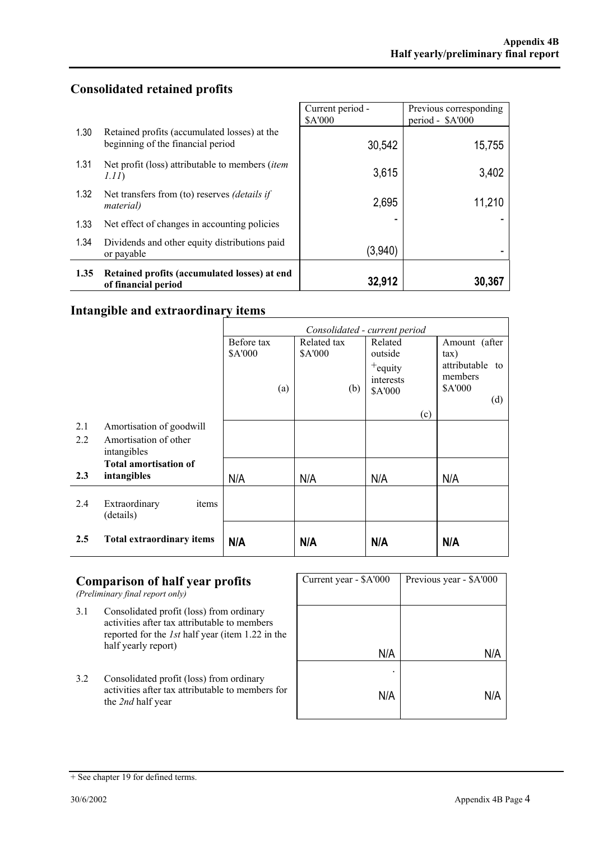| 1.35 | Retained profits (accumulated losses) at end                                      | 32,912                      | 30,367                                     |
|------|-----------------------------------------------------------------------------------|-----------------------------|--------------------------------------------|
| 1.34 | Dividends and other equity distributions paid<br>or payable                       | (3,940)                     |                                            |
| 1.33 | Net effect of changes in accounting policies                                      |                             |                                            |
| 1.32 | Net transfers from (to) reserves <i>(details if</i><br>material)                  | 2,695                       | 11,210                                     |
| 1.31 | Net profit (loss) attributable to members ( <i>item</i><br>1.11)                  | 3,615                       | 3,402                                      |
| 1.30 | Retained profits (accumulated losses) at the<br>beginning of the financial period | 30,542                      | 15,755                                     |
|      |                                                                                   | Current period -<br>\$A'000 | Previous corresponding<br>period - \$A'000 |

### **Consolidated retained profits**

#### **Intangible and extraordinary items**

|                  |                                      | Consolidated - current period |             |            |                 |
|------------------|--------------------------------------|-------------------------------|-------------|------------|-----------------|
|                  |                                      | Before tax                    | Related tax | Related    | Amount (after   |
|                  |                                      | <b>SA'000</b>                 | \$A'000     | outside    | $\tan$ )        |
|                  |                                      |                               |             | $+$ equity | attributable to |
|                  |                                      |                               |             | interests  | members         |
|                  |                                      | (a)                           | (b)         | \$A'000    | \$A'000         |
|                  |                                      |                               |             |            | (d)             |
|                  |                                      |                               |             | (c)        |                 |
| 2.1              | Amortisation of goodwill             |                               |             |            |                 |
| 2.2              | Amortisation of other<br>intangibles |                               |             |            |                 |
|                  | <b>Total amortisation of</b>         |                               |             |            |                 |
| 2.3              | intangibles                          | N/A                           | N/A         | N/A        | N/A             |
| 2.4              | Extraordinary<br>items<br>(details)  |                               |             |            |                 |
| $2.5\phantom{0}$ | <b>Total extraordinary items</b>     | N/A                           | N/A         | N/A        | N/A             |

#### **Comparison of half year profits**

*(Preliminary final report only)*

- 3.1 Consolidated profit (loss) from ordinary activities after tax attributable to members reported for the *1st* half year (item 1.22 in the half yearly report)
- 3.2 Consolidated profit (loss) from ordinary activities after tax attributable to members for the *2nd* half year

| Current year - \$A'000 | Previous year - \$A'000 |
|------------------------|-------------------------|
|                        |                         |
| N/A                    | N/A                     |
| ٠<br>N/A               | N/A                     |

<sup>+</sup> See chapter 19 for defined terms.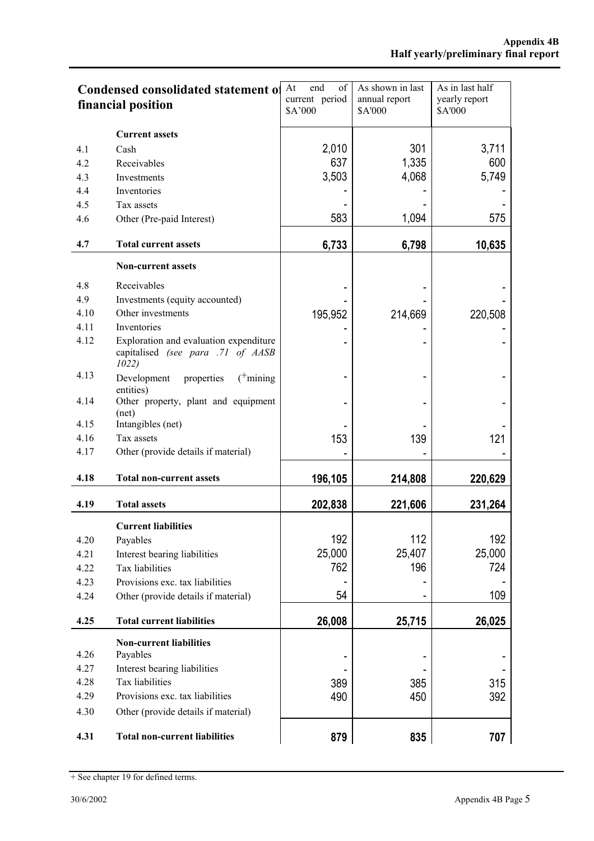|      | <b>Condensed consolidated statement of</b>                                           | end<br>At<br>of<br>current period | As shown in last<br>annual report | As in last half<br>yearly report |
|------|--------------------------------------------------------------------------------------|-----------------------------------|-----------------------------------|----------------------------------|
|      | financial position                                                                   | \$A'000                           | <b>\$A'000</b>                    | \$A'000                          |
|      | <b>Current assets</b>                                                                |                                   |                                   |                                  |
| 4.1  | Cash                                                                                 | 2,010                             | 301                               | 3,711                            |
| 4.2  | Receivables                                                                          | 637                               | 1,335                             | 600                              |
| 4.3  | Investments                                                                          | 3,503                             | 4,068                             | 5,749                            |
| 4.4  | Inventories                                                                          |                                   |                                   |                                  |
| 4.5  | Tax assets                                                                           |                                   |                                   |                                  |
| 4.6  | Other (Pre-paid Interest)                                                            | 583                               | 1,094                             | 575                              |
|      |                                                                                      |                                   |                                   |                                  |
| 4.7  | <b>Total current assets</b>                                                          | 6,733                             | 6,798                             | 10,635                           |
|      | <b>Non-current assets</b>                                                            |                                   |                                   |                                  |
| 4.8  | Receivables                                                                          |                                   |                                   |                                  |
| 4.9  | Investments (equity accounted)                                                       |                                   |                                   |                                  |
| 4.10 | Other investments                                                                    | 195,952                           | 214,669                           | 220,508                          |
| 4.11 | Inventories                                                                          |                                   |                                   |                                  |
| 4.12 | Exploration and evaluation expenditure<br>capitalised (see para .71 of AASB<br>1022) |                                   |                                   |                                  |
| 4.13 | $(^+$ mining<br>Development<br>properties<br>entities)                               |                                   |                                   |                                  |
| 4.14 | Other property, plant and equipment<br>(net)                                         |                                   |                                   |                                  |
| 4.15 | Intangibles (net)                                                                    |                                   |                                   |                                  |
| 4.16 | Tax assets                                                                           | 153                               | 139                               | 121                              |
| 4.17 | Other (provide details if material)                                                  |                                   |                                   |                                  |
| 4.18 | <b>Total non-current assets</b>                                                      | 196,105                           | 214,808                           | 220,629                          |
| 4.19 | <b>Total assets</b>                                                                  | 202,838                           | 221,606                           | 231,264                          |
|      | <b>Current liabilities</b>                                                           |                                   |                                   |                                  |
| 4.20 | Payables                                                                             | 192                               | 112                               | 192                              |
| 4.21 | Interest bearing liabilities                                                         | 25,000                            | 25,407                            | 25,000                           |
| 4.22 | Tax liabilities                                                                      | 762                               | 196                               | 724                              |
| 4.23 | Provisions exc. tax liabilities                                                      |                                   |                                   |                                  |
| 4.24 | Other (provide details if material)                                                  | 54                                |                                   | 109                              |
| 4.25 | <b>Total current liabilities</b>                                                     | 26,008                            | 25,715                            | 26,025                           |
|      | <b>Non-current liabilities</b>                                                       |                                   |                                   |                                  |
| 4.26 | Payables                                                                             |                                   |                                   |                                  |
| 4.27 | Interest bearing liabilities                                                         |                                   |                                   |                                  |
| 4.28 | Tax liabilities                                                                      | 389                               | 385                               | 315                              |
| 4.29 | Provisions exc. tax liabilities                                                      | 490                               | 450                               | 392                              |
| 4.30 | Other (provide details if material)                                                  |                                   |                                   |                                  |
| 4.31 | <b>Total non-current liabilities</b>                                                 | 879                               | 835                               | 707                              |

<sup>+</sup> See chapter 19 for defined terms.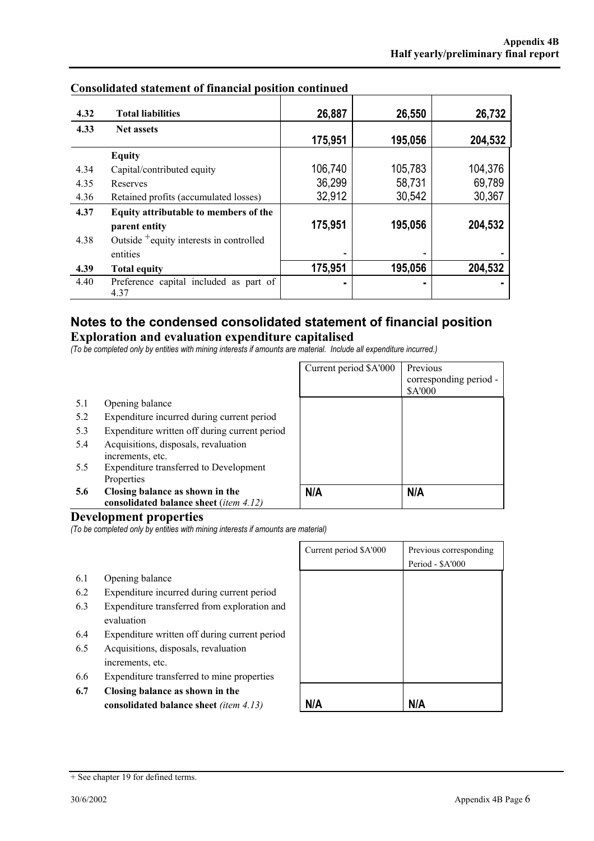| 4.32 | <b>Total liabilities</b>                                      | 26,887  | 26,550  | 26,732  |
|------|---------------------------------------------------------------|---------|---------|---------|
| 4.33 | <b>Net assets</b>                                             | 175,951 | 195,056 | 204,532 |
|      | <b>Equity</b>                                                 |         |         |         |
| 4.34 | Capital/contributed equity                                    | 106,740 | 105,783 | 104,376 |
| 4.35 | Reserves                                                      | 36,299  | 58,731  | 69,789  |
| 4.36 | Retained profits (accumulated losses)                         | 32,912  | 30,542  | 30,367  |
| 4.37 | <b>Equity attributable to members of the</b><br>parent entity | 175,951 | 195,056 | 204,532 |
| 4.38 | Outside <sup>+</sup> equity interests in controlled           |         |         |         |
|      | entities                                                      |         |         |         |
| 4.39 | <b>Total equity</b>                                           | 175,951 | 195,056 | 204,532 |
| 4.40 | Preference capital included as part of<br>4.37                |         | ۰       |         |

#### **Consolidated statement of financial position continued**

#### **Notes to the condensed consolidated statement of financial position Exploration and evaluation expenditure capitalised**

*(To be completed only by entities with mining interests if amounts are material. Include all expenditure incurred.)* 

| 5.1 | Opening balance |
|-----|-----------------|
|     |                 |

Properties

- 5.2 Expenditure incurred during current period
- 5.3 Expenditure written off during current period

**consolidated balance sheet** (*item 4.12)*

5.4 Acquisitions, disposals, revaluation increments, etc. 5.5 Expenditure transferred to Development

**5.6 Closing balance as shown in the** 

| Current period \$A'000 | Previous<br>corresponding period -<br>\$A'000 |
|------------------------|-----------------------------------------------|
|                        |                                               |
|                        |                                               |
| N/A                    | N/A                                           |

#### **Development properties**

*(To be completed only by entities with mining interests if amounts are material)* 

- 6.1 Opening balance
- 6.2 Expenditure incurred during current period
- 6.3 Expenditure transferred from exploration and evaluation
- 6.4 Expenditure written off during current period
- 6.5 Acquisitions, disposals, revaluation increments, etc.
- 6.6 Expenditure transferred to mine properties
- **6.7 Closing balance as shown in the consolidated balance sheet** *(item 4.13)*

|                        | Period - \$A'000       |
|------------------------|------------------------|
| Current period \$A'000 | Previous corresponding |

 $+$  See chapter 19 for defined terms.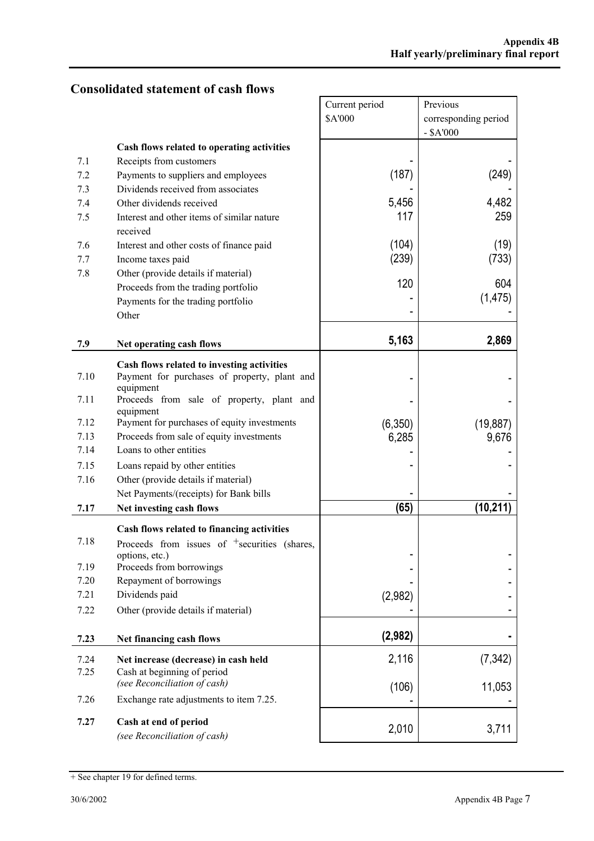# **Consolidated statement of cash flows**

|      |                                                                            | Current period<br>\$A'000 | Previous<br>corresponding period<br>$-$ \$A'000 |
|------|----------------------------------------------------------------------------|---------------------------|-------------------------------------------------|
|      | Cash flows related to operating activities                                 |                           |                                                 |
| 7.1  | Receipts from customers                                                    |                           |                                                 |
| 7.2  | Payments to suppliers and employees                                        | (187)                     | (249)                                           |
| 7.3  | Dividends received from associates                                         |                           |                                                 |
| 7.4  | Other dividends received                                                   | 5,456                     | 4,482                                           |
| 7.5  | Interest and other items of similar nature<br>received                     | 117                       | 259                                             |
| 7.6  | Interest and other costs of finance paid                                   | (104)                     | (19)                                            |
| 7.7  | Income taxes paid                                                          | (239)                     | (733)                                           |
| 7.8  | Other (provide details if material)                                        | 120                       | 604                                             |
|      | Proceeds from the trading portfolio                                        |                           | (1, 475)                                        |
|      | Payments for the trading portfolio<br>Other                                |                           |                                                 |
|      |                                                                            |                           |                                                 |
| 7.9  | Net operating cash flows                                                   | 5,163                     | 2,869                                           |
|      | Cash flows related to investing activities                                 |                           |                                                 |
| 7.10 | Payment for purchases of property, plant and<br>equipment                  |                           |                                                 |
| 7.11 | Proceeds from sale of property, plant and<br>equipment                     |                           |                                                 |
| 7.12 | Payment for purchases of equity investments                                | (6, 350)                  | (19, 887)                                       |
| 7.13 | Proceeds from sale of equity investments                                   | 6,285                     | 9,676                                           |
| 7.14 | Loans to other entities                                                    |                           |                                                 |
| 7.15 | Loans repaid by other entities                                             |                           |                                                 |
| 7.16 | Other (provide details if material)                                        |                           |                                                 |
|      | Net Payments/(receipts) for Bank bills                                     |                           |                                                 |
| 7.17 | Net investing cash flows                                                   | (65)                      | (10,211)                                        |
|      | Cash flows related to financing activities                                 |                           |                                                 |
| 7.18 | Proceeds from issues of <sup>+</sup> securities (shares,<br>options, etc.) |                           |                                                 |
| 7.19 | Proceeds from borrowings                                                   |                           |                                                 |
| 7.20 | Repayment of borrowings                                                    |                           |                                                 |
| 7.21 | Dividends paid                                                             | (2,982)                   |                                                 |
| 7.22 | Other (provide details if material)                                        |                           |                                                 |
| 7.23 | Net financing cash flows                                                   | (2,982)                   |                                                 |
| 7.24 | Net increase (decrease) in cash held                                       | 2,116                     | (7, 342)                                        |
| 7.25 | Cash at beginning of period<br>(see Reconciliation of cash)                | (106)                     | 11,053                                          |
| 7.26 | Exchange rate adjustments to item 7.25.                                    |                           |                                                 |
| 7.27 | Cash at end of period<br>(see Reconciliation of cash)                      | 2,010                     | 3,711                                           |

<sup>+</sup> See chapter 19 for defined terms.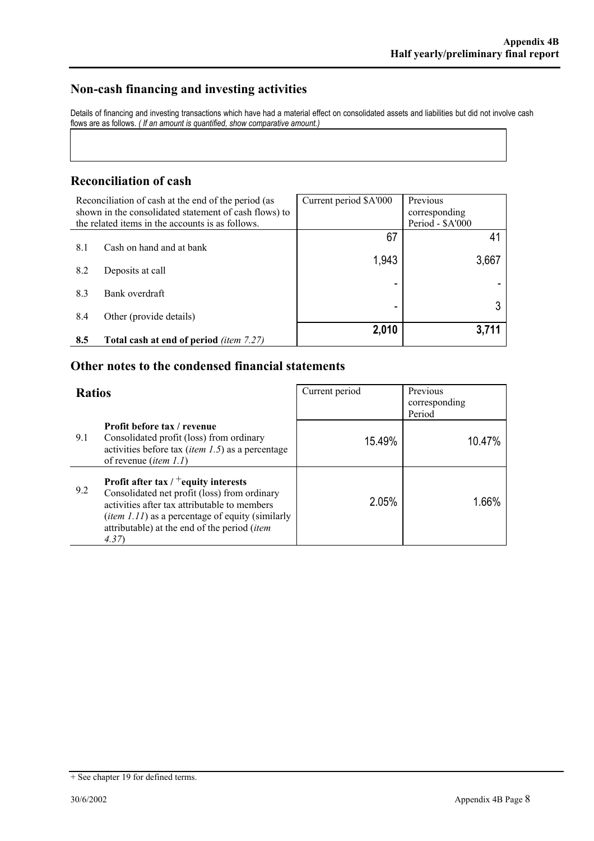### **Non-cash financing and investing activities**

Details of financing and investing transactions which have had a material effect on consolidated assets and liabilities but did not involve cash flows are as follows. *( If an amount is quantified, show comparative amount.)* 

#### **Reconciliation of cash**

| Reconciliation of cash at the end of the period (as<br>shown in the consolidated statement of cash flows) to<br>the related items in the accounts is as follows. |                                                       | Current period \$A'000 | Previous<br>corresponding<br>Period - \$A'000 |
|------------------------------------------------------------------------------------------------------------------------------------------------------------------|-------------------------------------------------------|------------------------|-----------------------------------------------|
| 8.1                                                                                                                                                              | Cash on hand and at bank                              | 67                     |                                               |
|                                                                                                                                                                  |                                                       | 1,943                  | 3,667                                         |
| 8.2                                                                                                                                                              | Deposits at call                                      |                        |                                               |
| 8.3                                                                                                                                                              | Bank overdraft                                        |                        |                                               |
| 8.4                                                                                                                                                              | Other (provide details)                               | -                      |                                               |
| 8.5                                                                                                                                                              | <b>Total cash at end of period</b> <i>(item 7.27)</i> | 2,010                  | 3,711                                         |

# **Other notes to the condensed financial statements**

| <b>Ratios</b> |                                                                                                                                                                                                                                                                       | Current period | Previous<br>corresponding<br>Period |
|---------------|-----------------------------------------------------------------------------------------------------------------------------------------------------------------------------------------------------------------------------------------------------------------------|----------------|-------------------------------------|
| 9.1           | <b>Profit before tax / revenue</b><br>Consolidated profit (loss) from ordinary<br>activities before tax ( <i>item 1.5</i> ) as a percentage<br>of revenue <i>(item 1.1)</i>                                                                                           | 15.49%         | 10.47%                              |
| 9.2           | Profit after tax $/$ + equity interests<br>Consolidated net profit (loss) from ordinary<br>activities after tax attributable to members<br>( <i>item 1.11</i> ) as a percentage of equity (similarly<br>attributable) at the end of the period ( <i>item</i><br>4.37) | 2.05%          | 1.66%                               |

<sup>+</sup> See chapter 19 for defined terms.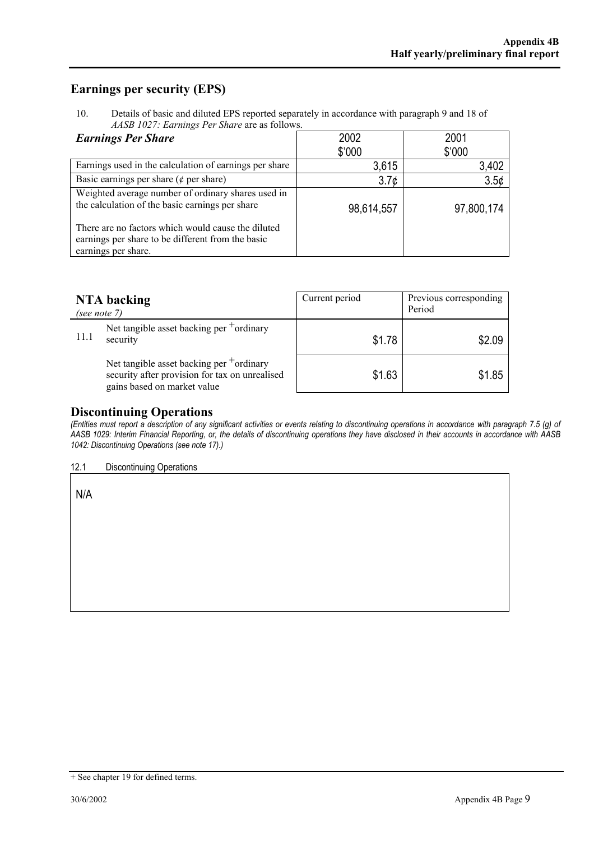### **Earnings per security (EPS)**

10. Details of basic and diluted EPS reported separately in accordance with paragraph 9 and 18 of *AASB 1027: Earnings Per Share* are as follows.

| <b>Earnings Per Share</b>                                                                                                      | 2002             | 2001             |
|--------------------------------------------------------------------------------------------------------------------------------|------------------|------------------|
|                                                                                                                                | \$'000           | \$'000           |
| Earnings used in the calculation of earnings per share                                                                         | 3,615            | 3,402            |
| Basic earnings per share ( $\phi$ per share)                                                                                   | 3.7 <sub>c</sub> | 3.5 <sub>¢</sub> |
| Weighted average number of ordinary shares used in<br>the calculation of the basic earnings per share                          | 98,614,557       | 97,800,174       |
| There are no factors which would cause the diluted<br>earnings per share to be different from the basic<br>earnings per share. |                  |                  |

| <b>NTA</b> backing<br>(see note $7$ ) |                                                                                                                              | Current period | Previous corresponding<br>Period |
|---------------------------------------|------------------------------------------------------------------------------------------------------------------------------|----------------|----------------------------------|
| 11.1                                  | Net tangible asset backing per $+$ ordinary<br>security                                                                      | \$1.78         | \$2.09                           |
|                                       | Net tangible asset backing per $+$ ordinary<br>security after provision for tax on unrealised<br>gains based on market value | \$1.63         | \$1.85                           |

#### **Discontinuing Operations**

*(Entities must report a description of any significant activities or events relating to discontinuing operations in accordance with paragraph 7.5 (g) of AASB 1029: Interim Financial Reporting, or, the details of discontinuing operations they have disclosed in their accounts in accordance with AASB 1042: Discontinuing Operations (see note 17).)* 

12.1 Discontinuing Operations

N/A

<sup>+</sup> See chapter 19 for defined terms.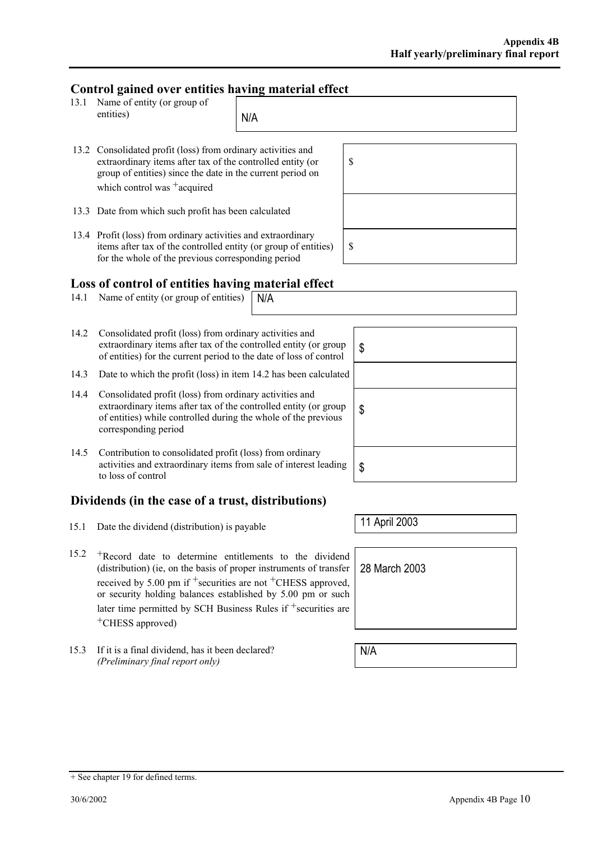# **Control gained over entities having material effect**

- 13.1 Name of entity (or group of entities)  $N/A$
- 13.2 Consolidated profit (loss) from ordinary activities and extraordinary items after tax of the controlled entity (or group of entities) since the date in the current period on which control was  $^+$ acquired
- 13.3 Date from which such profit has been calculated
- 13.4 Profit (loss) from ordinary activities and extraordinary items after tax of the controlled entity (or group of entities) for the whole of the previous corresponding period

## **Loss of control of entities having material effect**

- 14.1 Name of entity (or group of entities)  $N/A$
- 14.2 Consolidated profit (loss) from ordinary activities and extraordinary items after tax of the controlled entity (or group extraordinary items after tax of the controlled entity (or group  $\int$  \$ of entities) for the current period to the date of loss of control
- 14.3 Date to which the profit (loss) in item 14.2 has been calculated
- 14.4 Consolidated profit (loss) from ordinary activities and extraordinary items after tax of the controlled entity (or group of entities) while controlled during the whole of the previous corresponding period
- 14.5 Contribution to consolidated profit (loss) from ordinary activities and extraordinary items from sale of interest leading  $\int$  \$

# **Dividends (in the case of a trust, distributions)**

- 15.1 Date the dividend (distribution) is payable 11 April 2003
- 15.2 +Record date to determine entitlements to the dividend (distribution) (ie, on the basis of proper instruments of transfer received by 5.00 pm if  $+$ securities are not  $+$ CHESS approved, or security holding balances established by 5.00 pm or such later time permitted by SCH Business Rules if  $+$ securities are +CHESS approved)
- 15.3 If it is a final dividend, has it been declared? *(Preliminary final report only)*

 $+$  See chapter 19 for defined terms.

28 March 2003

N/A



\$

\$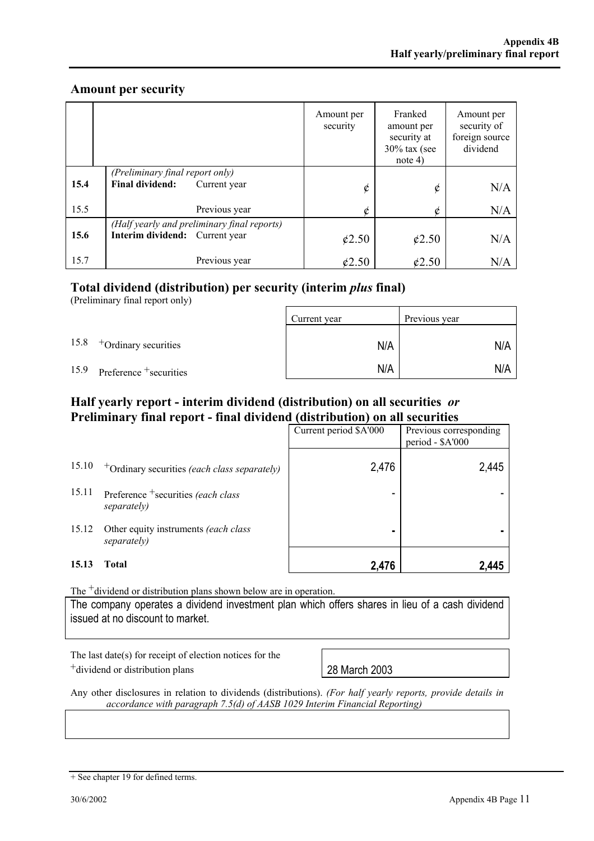#### **Amount per security**

|      |                                                                               | Amount per<br>security | Franked<br>amount per<br>security at<br>$30\%$ tax (see<br>note 4) | Amount per<br>security of<br>foreign source<br>dividend |
|------|-------------------------------------------------------------------------------|------------------------|--------------------------------------------------------------------|---------------------------------------------------------|
| 15.4 | (Preliminary final report only)<br>Final dividend:<br>Current year            | ¢                      | ¢                                                                  | N/A                                                     |
| 15.5 | Previous year                                                                 | ¢                      |                                                                    | N/A                                                     |
| 15.6 | (Half yearly and preliminary final reports)<br>Interim dividend: Current year | $\dot{\kappa}$ 2.50    | $\mathcal{L}2.50$                                                  | N/A                                                     |
| 15.7 | Previous year                                                                 | 62.50                  | 62.50                                                              | N/A                                                     |

#### **Total dividend (distribution) per security (interim** *plus* **final)**

(Preliminary final report only)

|      |                         | Current year | Previous year |
|------|-------------------------|--------------|---------------|
| 15.8 | +Ordinary securities    | N/A          | N/A           |
| 15.9 | Preference + securities | N/A          | N/A           |

#### **Half yearly report - interim dividend (distribution) on all securities** *or* **Preliminary final report - final dividend (distribution) on all securities**  Current period \$A'000 Previous corresponding

|       |                                                     |       | period - \$A'000 |
|-------|-----------------------------------------------------|-------|------------------|
| 15.10 | $+$ Ordinary securities (each class separately)     | 2,476 | 2,445            |
| 15.11 | Preference + securities (each class<br>separately)  | -     |                  |
| 15.12 | Other equity instruments (each class<br>separately) |       |                  |
| 15.13 | Total                                               | 2,476 | 2,445            |

The <sup>+</sup>dividend or distribution plans shown below are in operation.

The company operates a dividend investment plan which offers shares in lieu of a cash dividend issued at no discount to market.

The last date(s) for receipt of election notices for the

<sup>+</sup>dividend or distribution plans 2003

Any other disclosures in relation to dividends (distributions). *(For half yearly reports, provide details in accordance with paragraph 7.5(d) of AASB 1029 Interim Financial Reporting)*

<sup>+</sup> See chapter 19 for defined terms.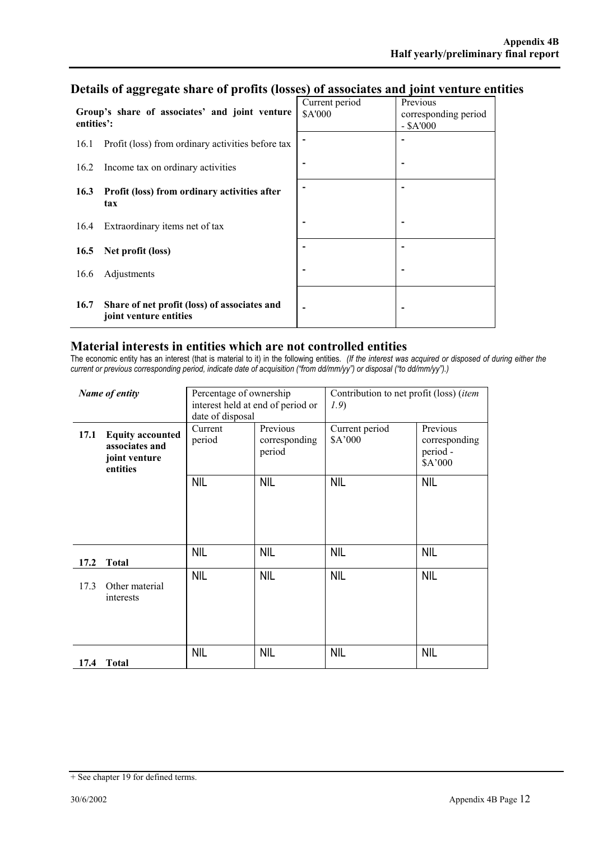| Group's share of associates' and joint venture<br>entities': |                                                                        | Current period<br>\$A'000 | Previous<br>corresponding period<br>$-$ \$A'000 |
|--------------------------------------------------------------|------------------------------------------------------------------------|---------------------------|-------------------------------------------------|
| 16.1                                                         | Profit (loss) from ordinary activities before tax                      |                           |                                                 |
| 16.2                                                         | Income tax on ordinary activities                                      | ۰                         | $\overline{\phantom{0}}$                        |
| 16.3                                                         | Profit (loss) from ordinary activities after<br>tax                    |                           | ۰                                               |
| 16.4                                                         | Extraordinary items net of tax                                         |                           | ٠                                               |
| 16.5                                                         | Net profit (loss)                                                      |                           | ۰                                               |
| 16.6                                                         | Adjustments                                                            |                           | ٠                                               |
| 16.7                                                         | Share of net profit (loss) of associates and<br>joint venture entities |                           |                                                 |

# **Details of aggregate share of profits (losses) of associates and joint venture entities**

#### **Material interests in entities which are not controlled entities**

The economic entity has an interest (that is material to it) in the following entities. *(If the interest was acquired or disposed of during either the current or previous corresponding period, indicate date of acquisition ("from dd/mm/yy") or disposal ("to dd/mm/yy").)* 

| Name of entity |                                                                        | Percentage of ownership<br>interest held at end of period or<br>date of disposal |                                     | Contribution to net profit (loss) (item<br>1.9) |                                                  |
|----------------|------------------------------------------------------------------------|----------------------------------------------------------------------------------|-------------------------------------|-------------------------------------------------|--------------------------------------------------|
| 17.1           | <b>Equity accounted</b><br>associates and<br>joint venture<br>entities | Current<br>period                                                                | Previous<br>corresponding<br>period | Current period<br>\$A'000                       | Previous<br>corresponding<br>period -<br>\$A'000 |
|                |                                                                        | <b>NIL</b>                                                                       | <b>NIL</b>                          | <b>NIL</b>                                      | <b>NIL</b>                                       |
| 17.2           | <b>Total</b>                                                           | <b>NIL</b>                                                                       | <b>NIL</b>                          | <b>NIL</b>                                      | <b>NIL</b>                                       |
| 17.3           | Other material<br>interests                                            | <b>NIL</b>                                                                       | <b>NIL</b>                          | <b>NIL</b>                                      | <b>NIL</b>                                       |
| 17.4           | <b>Total</b>                                                           | <b>NIL</b>                                                                       | <b>NIL</b>                          | <b>NIL</b>                                      | <b>NIL</b>                                       |

<sup>+</sup> See chapter 19 for defined terms.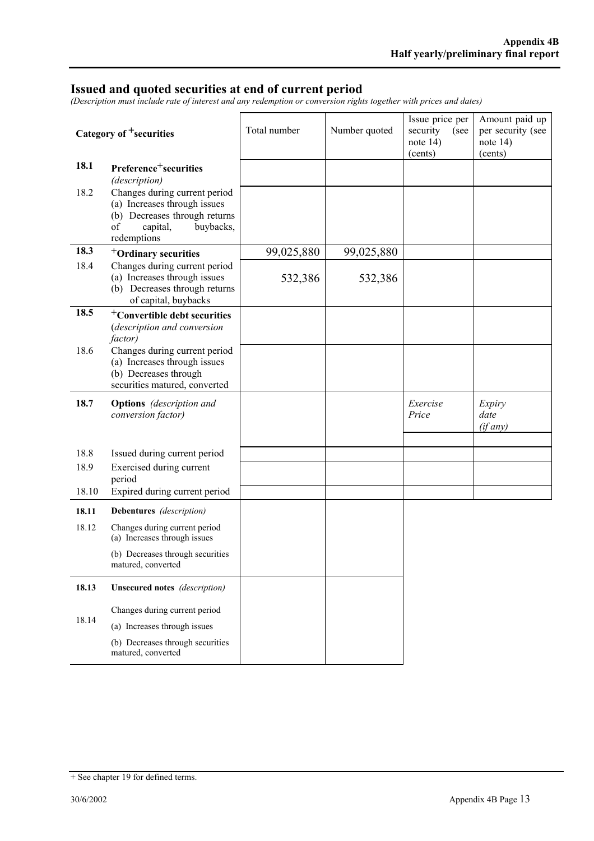#### **Issued and quoted securities at end of current period**

*(Description must include rate of interest and any redemption or conversion rights together with prices and dates)* 

| Category of <sup>+</sup> securities |                                                                                                                                              | Total number | Number quoted | Issue price per<br>security<br>(see<br>note $14)$<br>(cents) | Amount paid up<br>per security (see<br>note $14)$<br>(cents) |
|-------------------------------------|----------------------------------------------------------------------------------------------------------------------------------------------|--------------|---------------|--------------------------------------------------------------|--------------------------------------------------------------|
| 18.1                                | Preference <sup>+</sup> securities<br>(description)                                                                                          |              |               |                                                              |                                                              |
| 18.2                                | Changes during current period<br>(a) Increases through issues<br>(b) Decreases through returns<br>of<br>capital,<br>buybacks,<br>redemptions |              |               |                                                              |                                                              |
| 18.3                                | <sup>+</sup> Ordinary securities                                                                                                             | 99,025,880   | 99,025,880    |                                                              |                                                              |
| 18.4                                | Changes during current period<br>(a) Increases through issues<br>(b) Decreases through returns<br>of capital, buybacks                       | 532,386      | 532,386       |                                                              |                                                              |
| 18.5                                | <sup>+</sup> Convertible debt securities<br>(description and conversion<br>factor)                                                           |              |               |                                                              |                                                              |
| 18.6                                | Changes during current period<br>(a) Increases through issues<br>(b) Decreases through<br>securities matured, converted                      |              |               |                                                              |                                                              |
| 18.7                                | <b>Options</b> (description and<br>conversion factor)                                                                                        |              |               | Exercise<br>Price                                            | Expiry<br>date<br>(if any)                                   |
| 18.8                                | Issued during current period                                                                                                                 |              |               |                                                              |                                                              |
| 18.9                                | Exercised during current<br>period                                                                                                           |              |               |                                                              |                                                              |
| 18.10                               | Expired during current period                                                                                                                |              |               |                                                              |                                                              |
| 18.11                               | Debentures (description)                                                                                                                     |              |               |                                                              |                                                              |
| 18.12                               | Changes during current period<br>(a) Increases through issues                                                                                |              |               |                                                              |                                                              |
|                                     | (b) Decreases through securities<br>matured, converted                                                                                       |              |               |                                                              |                                                              |
| 18.13                               | <b>Unsecured notes</b> (description)                                                                                                         |              |               |                                                              |                                                              |
| 18.14                               | Changes during current period<br>(a) Increases through issues<br>(b) Decreases through securities<br>matured, converted                      |              |               |                                                              |                                                              |
|                                     |                                                                                                                                              |              |               |                                                              |                                                              |

<sup>+</sup> See chapter 19 for defined terms.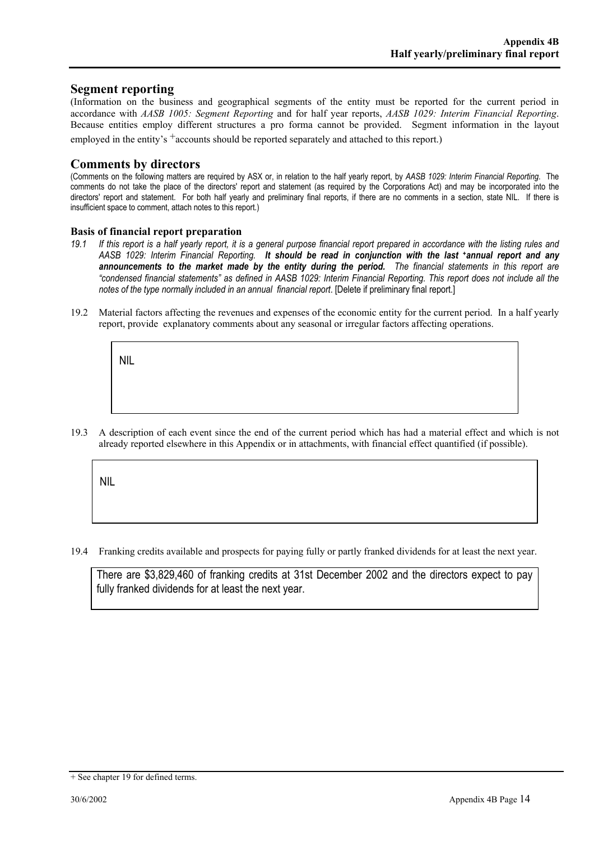#### **Segment reporting**

(Information on the business and geographical segments of the entity must be reported for the current period in accordance with *AASB 1005: Segment Reporting* and for half year reports, *AASB 1029: Interim Financial Reporting*. Because entities employ different structures a pro forma cannot be provided. Segment information in the layout employed in the entity's <sup>+</sup>accounts should be reported separately and attached to this report.)

#### **Comments by directors**

(Comments on the following matters are required by ASX or, in relation to the half yearly report, by *AASB 1029: Interim Financial Reporting*. The comments do not take the place of the directors' report and statement (as required by the Corporations Act) and may be incorporated into the directors' report and statement. For both half yearly and preliminary final reports, if there are no comments in a section, state NIL. If there is insufficient space to comment, attach notes to this report.)

#### **Basis of financial report preparation**

- *19.1 If this report is a half yearly report, it is a general purpose financial report prepared in accordance with the listing rules and AASB 1029: Interim Financial Reporting. It should be read in conjunction with the last +annual report and any announcements to the market made by the entity during the period. The financial statements in this report are "condensed financial statements" as defined in AASB 1029: Interim Financial Reporting. This report does not include all the notes of the type normally included in an annual financial report*. [Delete if preliminary final report.]
- 19.2 Material factors affecting the revenues and expenses of the economic entity for the current period. In a half yearly report, provide explanatory comments about any seasonal or irregular factors affecting operations.

NIL

19.3 A description of each event since the end of the current period which has had a material effect and which is not already reported elsewhere in this Appendix or in attachments, with financial effect quantified (if possible).

NIL

19.4 Franking credits available and prospects for paying fully or partly franked dividends for at least the next year.

There are \$3,829,460 of franking credits at 31st December 2002 and the directors expect to pay fully franked dividends for at least the next year.

<sup>+</sup> See chapter 19 for defined terms.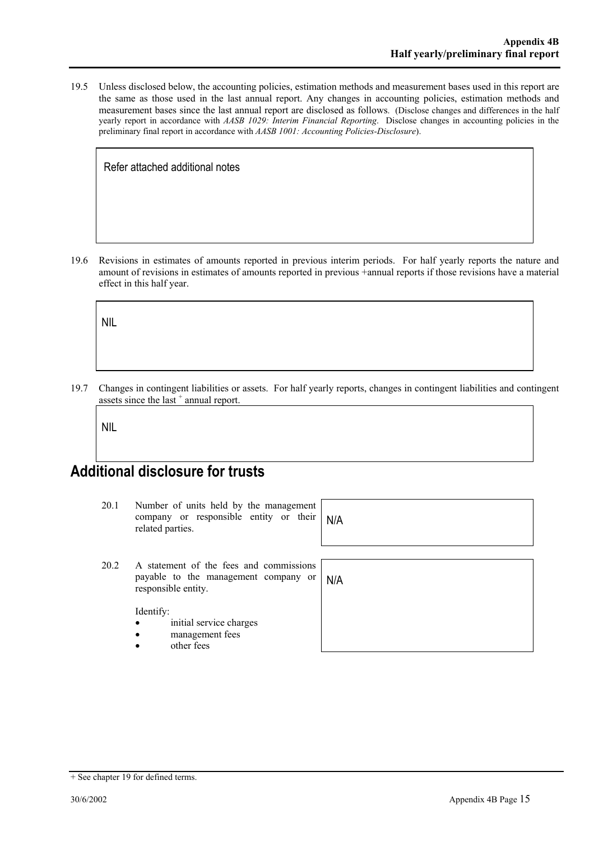19.5 Unless disclosed below, the accounting policies, estimation methods and measurement bases used in this report are the same as those used in the last annual report. Any changes in accounting policies, estimation methods and measurement bases since the last annual report are disclosed as follows. (Disclose changes and differences in the half yearly report in accordance with *AASB 1029: Interim Financial Reporting*. Disclose changes in accounting policies in the preliminary final report in accordance with *AASB 1001: Accounting Policies-Disclosure*).

Refer attached additional notes

19.6 Revisions in estimates of amounts reported in previous interim periods. For half yearly reports the nature and amount of revisions in estimates of amounts reported in previous +annual reports if those revisions have a material effect in this half year.

NIL

19.7 Changes in contingent liabilities or assets. For half yearly reports, changes in contingent liabilities and contingent assets since the last  $+$  annual report.

NIL

# **Additional disclosure for trusts**

- 20.1 Number of units held by the management company or responsible entity or their related parties.
- 20.2 A statement of the fees and commissions payable to the management company or responsible entity.

Identify:

- initial service charges
- management fees
- other fees

N/A

N/A

+ See chapter 19 for defined terms.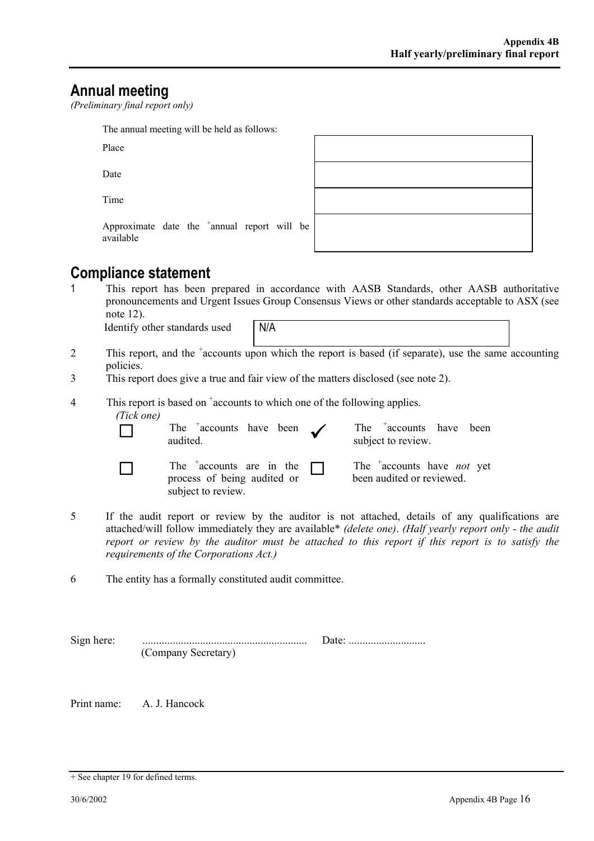# **Annual meeting**

*(Preliminary final report only)* 

The annual meeting will be held as follows:

Place

Date

Time

Approximate date the <sup>+</sup> annual report will be available

# **Compliance statement**

1 This report has been prepared in accordance with AASB Standards, other AASB authoritative pronouncements and Urgent Issues Group Consensus Views or other standards acceptable to ASX (see note 12).

Identify other standards used N/A

- 2 This report, and the <sup>+</sup>accounts upon which the report is based (if separate), use the same accounting policies.
- 3 This report does give a true and fair view of the matters disclosed (see note 2).

4 This report is based on  $\alpha$  accounts to which one of the following applies.

| (Tick one) |  |
|------------|--|
|            |  |

| The $\alpha$ accounts have been $\alpha$<br>audited.                                         | The <sup>+</sup> accounts have been<br>subject to review.                  |
|----------------------------------------------------------------------------------------------|----------------------------------------------------------------------------|
| The $\alpha$ accounts are in the $\Box$<br>process of being audited or<br>subject to review. | The <sup>+</sup> accounts have <i>not</i> yet<br>been audited or reviewed. |

- 5 If the audit report or review by the auditor is not attached, details of any qualifications are attached/will follow immediately they are available\* *(delete one)*. *(Half yearly report only - the audit report or review by the auditor must be attached to this report if this report is to satisfy the requirements of the Corporations Act.)*
- 6 The entity has a formally constituted audit committee.

| Sign here: |                     | Date: |
|------------|---------------------|-------|
|            | (Company Secretary) |       |

Print name: A. J. Hancock

<sup>+</sup> See chapter 19 for defined terms.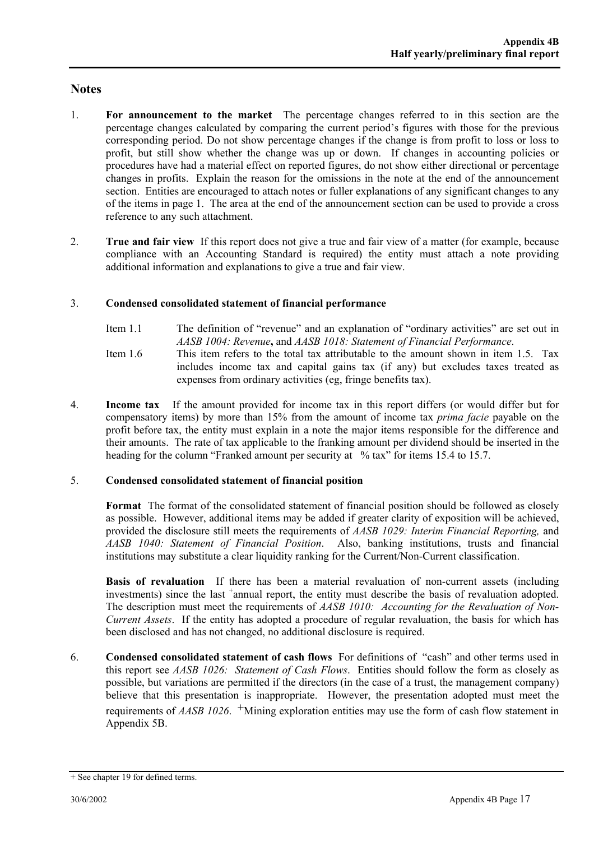#### **Notes**

- 1. **For announcement to the market** The percentage changes referred to in this section are the percentage changes calculated by comparing the current period's figures with those for the previous corresponding period. Do not show percentage changes if the change is from profit to loss or loss to profit, but still show whether the change was up or down. If changes in accounting policies or procedures have had a material effect on reported figures, do not show either directional or percentage changes in profits. Explain the reason for the omissions in the note at the end of the announcement section. Entities are encouraged to attach notes or fuller explanations of any significant changes to any of the items in page 1. The area at the end of the announcement section can be used to provide a cross reference to any such attachment.
- 2. **True and fair view** If this report does not give a true and fair view of a matter (for example, because compliance with an Accounting Standard is required) the entity must attach a note providing additional information and explanations to give a true and fair view.

#### 3. **Condensed consolidated statement of financial performance**

- Item 1.1 The definition of "revenue" and an explanation of "ordinary activities" are set out in *AASB 1004: Revenue***,** and *AASB 1018: Statement of Financial Performance*.
- Item 1.6 This item refers to the total tax attributable to the amount shown in item 1.5. Tax includes income tax and capital gains tax (if any) but excludes taxes treated as expenses from ordinary activities (eg, fringe benefits tax).
- 4. **Income tax** If the amount provided for income tax in this report differs (or would differ but for compensatory items) by more than 15% from the amount of income tax *prima facie* payable on the profit before tax, the entity must explain in a note the major items responsible for the difference and their amounts. The rate of tax applicable to the franking amount per dividend should be inserted in the heading for the column "Franked amount per security at  $%$  tax" for items 15.4 to 15.7.

#### 5. **Condensed consolidated statement of financial position**

 **Format** The format of the consolidated statement of financial position should be followed as closely as possible. However, additional items may be added if greater clarity of exposition will be achieved, provided the disclosure still meets the requirements of *AASB 1029: Interim Financial Reporting,* and *AASB 1040: Statement of Financial Position*. Also, banking institutions, trusts and financial institutions may substitute a clear liquidity ranking for the Current/Non-Current classification.

**Basis of revaluation** If there has been a material revaluation of non-current assets (including investments) since the last <sup>+</sup>annual report, the entity must describe the basis of revaluation adopted. The description must meet the requirements of *AASB 1010: Accounting for the Revaluation of Non-Current Assets*. If the entity has adopted a procedure of regular revaluation, the basis for which has been disclosed and has not changed, no additional disclosure is required.

6. **Condensed consolidated statement of cash flows** For definitions of "cash" and other terms used in this report see *AASB 1026: Statement of Cash Flows*. Entities should follow the form as closely as possible, but variations are permitted if the directors (in the case of a trust, the management company) believe that this presentation is inappropriate. However, the presentation adopted must meet the requirements of *AASB 1026*. <sup>+</sup>Mining exploration entities may use the form of cash flow statement in Appendix 5B.

<sup>+</sup> See chapter 19 for defined terms.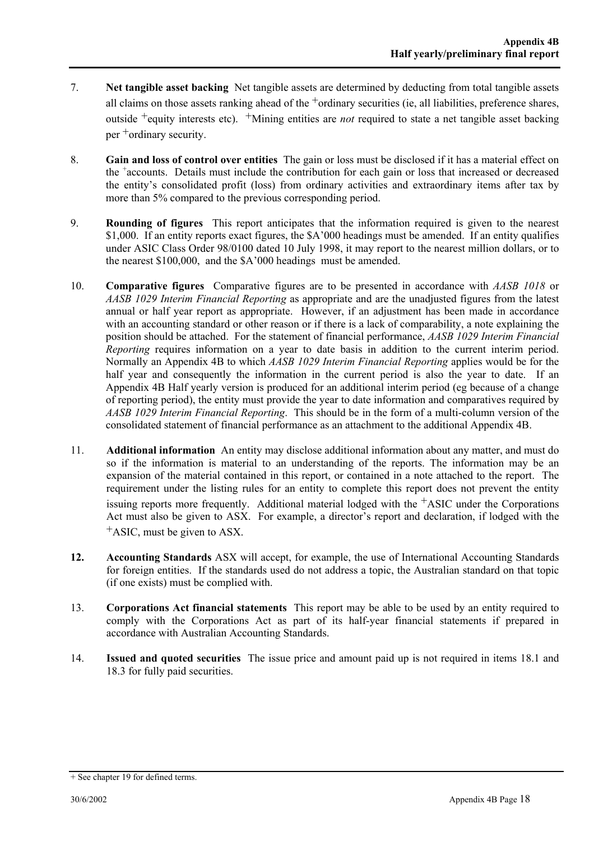- 7. **Net tangible asset backing** Net tangible assets are determined by deducting from total tangible assets all claims on those assets ranking ahead of the  $+$ ordinary securities (ie, all liabilities, preference shares, outside +equity interests etc). +Mining entities are *not* required to state a net tangible asset backing per +ordinary security.
- 8. **Gain and loss of control over entities** The gain or loss must be disclosed if it has a material effect on the <sup>+</sup> accounts. Details must include the contribution for each gain or loss that increased or decreased the entity's consolidated profit (loss) from ordinary activities and extraordinary items after tax by more than 5% compared to the previous corresponding period.
- 9. **Rounding of figures** This report anticipates that the information required is given to the nearest \$1,000. If an entity reports exact figures, the \$A'000 headings must be amended. If an entity qualifies under ASIC Class Order 98/0100 dated 10 July 1998, it may report to the nearest million dollars, or to the nearest \$100,000, and the \$A'000 headings must be amended.
- 10. **Comparative figures** Comparative figures are to be presented in accordance with *AASB 1018* or *AASB 1029 Interim Financial Reporting* as appropriate and are the unadjusted figures from the latest annual or half year report as appropriate. However, if an adjustment has been made in accordance with an accounting standard or other reason or if there is a lack of comparability, a note explaining the position should be attached. For the statement of financial performance, *AASB 1029 Interim Financial Reporting* requires information on a year to date basis in addition to the current interim period. Normally an Appendix 4B to which *AASB 1029 Interim Financial Reporting* applies would be for the half year and consequently the information in the current period is also the year to date. If an Appendix 4B Half yearly version is produced for an additional interim period (eg because of a change of reporting period), the entity must provide the year to date information and comparatives required by *AASB 1029 Interim Financial Reporting*. This should be in the form of a multi-column version of the consolidated statement of financial performance as an attachment to the additional Appendix 4B.
- 11. **Additional information** An entity may disclose additional information about any matter, and must do so if the information is material to an understanding of the reports. The information may be an expansion of the material contained in this report, or contained in a note attached to the report. The requirement under the listing rules for an entity to complete this report does not prevent the entity issuing reports more frequently. Additional material lodged with the  $+A$ SIC under the Corporations Act must also be given to ASX. For example, a director's report and declaration, if lodged with the +ASIC, must be given to ASX.
- **12. Accounting Standards** ASX will accept, for example, the use of International Accounting Standards for foreign entities. If the standards used do not address a topic, the Australian standard on that topic (if one exists) must be complied with.
- 13. **Corporations Act financial statements** This report may be able to be used by an entity required to comply with the Corporations Act as part of its half-year financial statements if prepared in accordance with Australian Accounting Standards.
- 14. **Issued and quoted securities** The issue price and amount paid up is not required in items 18.1 and 18.3 for fully paid securities.

 $+$  See chapter 19 for defined terms.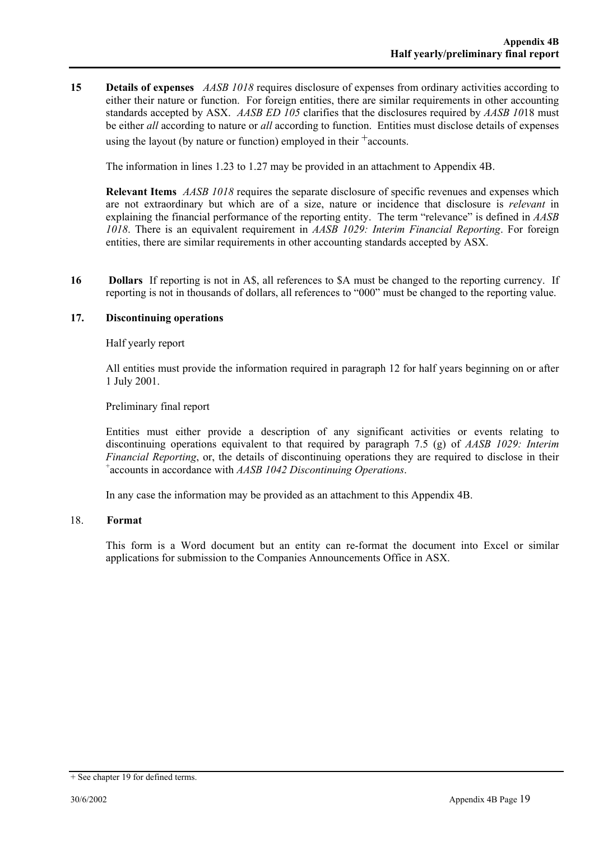**15 Details of expenses** *AASB 1018* requires disclosure of expenses from ordinary activities according to either their nature or function. For foreign entities, there are similar requirements in other accounting standards accepted by ASX. *AASB ED 105* clarifies that the disclosures required by *AASB 10*18 must be either *all* according to nature or *all* according to function. Entities must disclose details of expenses using the layout (by nature or function) employed in their  $+$  accounts.

The information in lines 1.23 to 1.27 may be provided in an attachment to Appendix 4B.

**Relevant Items** *AASB 1018* requires the separate disclosure of specific revenues and expenses which are not extraordinary but which are of a size, nature or incidence that disclosure is *relevant* in explaining the financial performance of the reporting entity. The term "relevance" is defined in *AASB 1018*. There is an equivalent requirement in *AASB 1029: Interim Financial Reporting*. For foreign entities, there are similar requirements in other accounting standards accepted by ASX.

16 **Dollars** If reporting is not in A\$, all references to \$A must be changed to the reporting currency. If reporting is not in thousands of dollars, all references to "000" must be changed to the reporting value.

#### **17. Discontinuing operations**

Half yearly report

All entities must provide the information required in paragraph 12 for half years beginning on or after 1 July 2001.

#### Preliminary final report

Entities must either provide a description of any significant activities or events relating to discontinuing operations equivalent to that required by paragraph 7.5 (g) of *AASB 1029: Interim Financial Reporting*, or, the details of discontinuing operations they are required to disclose in their accounts in accordance with *AASB 1042 Discontinuing Operations*.

In any case the information may be provided as an attachment to this Appendix 4B.

#### 18. **Format**

This form is a Word document but an entity can re-format the document into Excel or similar applications for submission to the Companies Announcements Office in ASX.

 $+$  See chapter 19 for defined terms.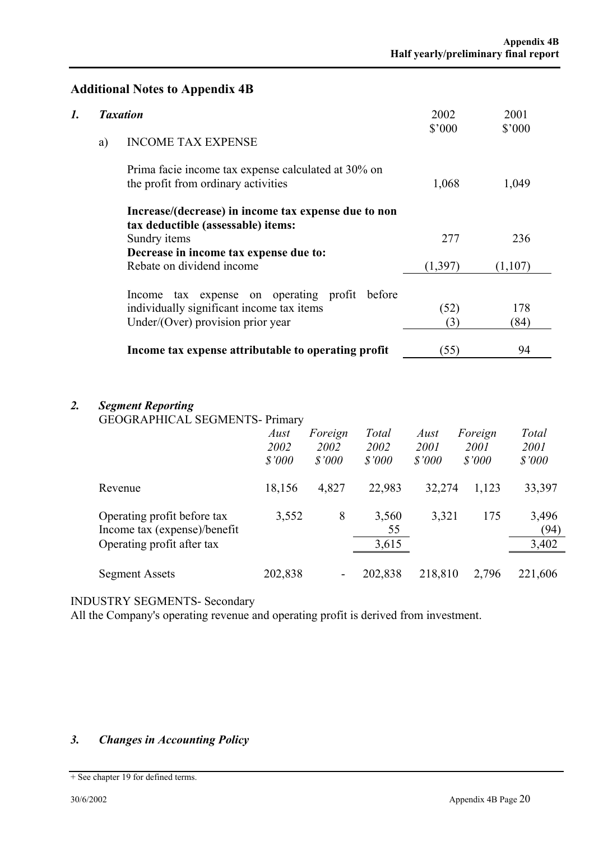### **Additional Notes to Appendix 4B**

| $\boldsymbol{l}$ . |                                                                                                                                 | <b>Taxation</b>                                                                            |                        |                           |                         | 2002<br>\$'000         |                           | 2001<br>\$'000          |
|--------------------|---------------------------------------------------------------------------------------------------------------------------------|--------------------------------------------------------------------------------------------|------------------------|---------------------------|-------------------------|------------------------|---------------------------|-------------------------|
|                    | a)                                                                                                                              | <b>INCOME TAX EXPENSE</b>                                                                  |                        |                           |                         |                        |                           |                         |
|                    |                                                                                                                                 | Prima facie income tax expense calculated at 30% on<br>the profit from ordinary activities |                        |                           |                         | 1,068                  |                           | 1,049                   |
|                    | Increase/(decrease) in income tax expense due to non<br>tax deductible (assessable) items:<br>Sundry items                      |                                                                                            |                        |                           |                         |                        | 277                       | 236                     |
|                    | Decrease in income tax expense due to:<br>Rebate on dividend income                                                             |                                                                                            |                        |                           | (1, 397)                |                        | (1,107)                   |                         |
|                    | Income tax expense on operating profit before<br>individually significant income tax items<br>Under/(Over) provision prior year |                                                                                            |                        |                           |                         | (52)<br>(3)            |                           | 178<br>(84)             |
|                    |                                                                                                                                 | Income tax expense attributable to operating profit                                        |                        |                           |                         | (55)                   |                           | 94                      |
| $\overline{2}$ .   |                                                                                                                                 | <b>Segment Reporting</b><br><b>GEOGRAPHICAL SEGMENTS- Primary</b>                          |                        |                           |                         |                        |                           |                         |
|                    |                                                                                                                                 |                                                                                            | Aust<br>2002<br>\$'000 | Foreign<br>2002<br>\$'000 | Total<br>2002<br>\$'000 | Aust<br>2001<br>\$'000 | Foreign<br>2001<br>\$'000 | Total<br>2001<br>\$'000 |
|                    |                                                                                                                                 | Revenue                                                                                    | 18,156                 | 4,827                     | 22,983                  | 32,274                 | 1,123                     | 33,397                  |
|                    |                                                                                                                                 | Operating profit before tax<br>Income tax (expense)/benefit<br>Operating profit after tax  | 3,552                  | 8                         | 3,560<br>55<br>3,615    | 3,321                  | 175                       | 3,496<br>3,402          |
|                    |                                                                                                                                 | <b>Segment Assets</b>                                                                      | 202,838                |                           | 202,838                 | 218,810                | 2,796                     | 221,606                 |

INDUSTRY SEGMENTS- Secondary

All the Company's operating revenue and operating profit is derived from investment.

# *3. Changes in Accounting Policy*

<sup>+</sup> See chapter 19 for defined terms.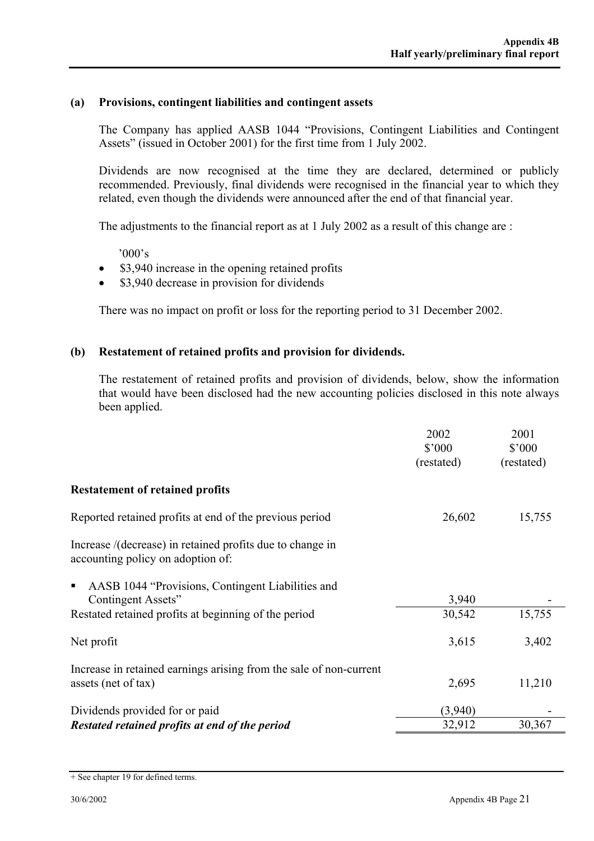#### **(a) Provisions, contingent liabilities and contingent assets**

 The Company has applied AASB 1044 "Provisions, Contingent Liabilities and Contingent Assets" (issued in October 2001) for the first time from 1 July 2002.

Dividends are now recognised at the time they are declared, determined or publicly recommended. Previously, final dividends were recognised in the financial year to which they related, even though the dividends were announced after the end of that financial year.

The adjustments to the financial report as at 1 July 2002 as a result of this change are :

'000's

- \$3,940 increase in the opening retained profits
- \$3,940 decrease in provision for dividends

There was no impact on profit or loss for the reporting period to 31 December 2002.

#### **(b) Restatement of retained profits and provision for dividends.**

The restatement of retained profits and provision of dividends, below, show the information that would have been disclosed had the new accounting policies disclosed in this note always been applied.

|                                                                                                                                      | 2002<br>$$^{\circ}000$<br>(restated) | 2001<br>$$^{\circ}000$<br>(restated) |
|--------------------------------------------------------------------------------------------------------------------------------------|--------------------------------------|--------------------------------------|
| <b>Restatement of retained profits</b>                                                                                               |                                      |                                      |
| Reported retained profits at end of the previous period                                                                              | 26,602                               | 15,755                               |
| Increase /(decrease) in retained profits due to change in<br>accounting policy on adoption of:                                       |                                      |                                      |
| AASB 1044 "Provisions, Contingent Liabilities and<br>п<br>Contingent Assets"<br>Restated retained profits at beginning of the period | 3,940<br>30,542                      | 15,755                               |
|                                                                                                                                      |                                      |                                      |
| Net profit                                                                                                                           | 3,615                                | 3,402                                |
| Increase in retained earnings arising from the sale of non-current<br>assets (net of tax)                                            | 2,695                                | 11,210                               |
| Dividends provided for or paid                                                                                                       | (3,940)                              |                                      |
| Restated retained profits at end of the period                                                                                       | 32,912                               | 30,367                               |

 $+$  See chapter 19 for defined terms.